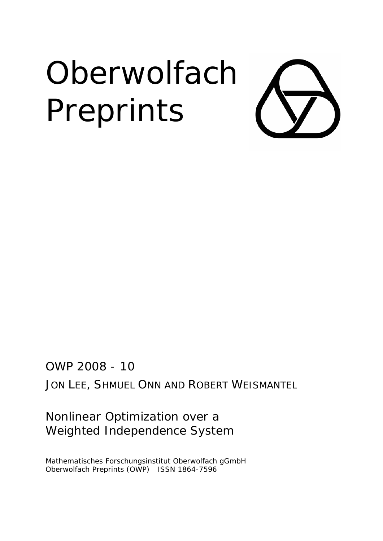# **Oberwolfach** Preprints

OWP 2008 - 10

JON LEE, SHMUEL ONN AND ROBERT WEISMANTEL

Nonlinear Optimization over a Weighted Independence System

Mathematisches Forschungsinstitut Oberwolfach gGmbH Oberwolfach Preprints (OWP) ISSN 1864-7596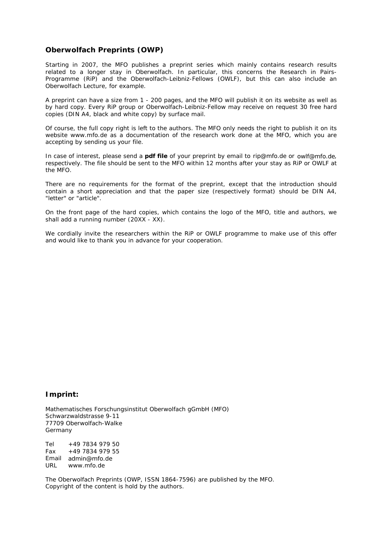#### **Oberwolfach Preprints (OWP)**

Starting in 2007, the MFO publishes a preprint series which mainly contains research results related to a longer stay in Oberwolfach. In particular, this concerns the Research in Pairs-Programme (RiP) and the Oberwolfach-Leibniz-Fellows (OWLF), but this can also include an Oberwolfach Lecture, for example.

A preprint can have a size from 1 - 200 pages, and the MFO will publish it on its website as well as by hard copy. Every RiP group or Oberwolfach-Leibniz-Fellow may receive on request 30 free hard copies (DIN A4, black and white copy) by surface mail.

Of course, the full copy right is left to the authors. The MFO only needs the right to publish it on its website *www.mfo.de* as a documentation of the research work done at the MFO, which you are accepting by sending us your file.

In case of interest, please send a **pdf file** of your preprint by email to *rip@mfo.de* or *owlf@mfo.de*, respectively. The file should be sent to the MFO within 12 months after your stay as RiP or OWLF at the MFO.

There are no requirements for the format of the preprint, except that the introduction should contain a short appreciation and that the paper size (respectively format) should be DIN A4, "letter" or "article".

On the front page of the hard copies, which contains the logo of the MFO, title and authors, we shall add a running number (20XX - XX).

We cordially invite the researchers within the RiP or OWLF programme to make use of this offer and would like to thank you in advance for your cooperation.

#### **Imprint:**

Mathematisches Forschungsinstitut Oberwolfach gGmbH (MFO) Schwarzwaldstrasse 9-11 77709 Oberwolfach-Walke Germany

Tel +49 7834 979 50 Fax +49 7834 979 55 Email admin@mfo.de URL www.mfo.de

The Oberwolfach Preprints (OWP, ISSN 1864-7596) are published by the MFO. Copyright of the content is hold by the authors.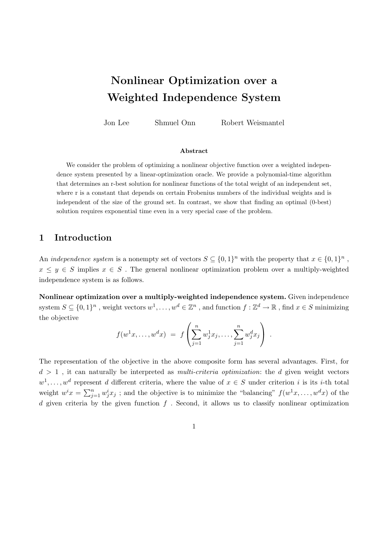# Nonlinear Optimization over a Weighted Independence System

Jon Lee Shmuel Onn Robert Weismantel

#### Abstract

We consider the problem of optimizing a nonlinear objective function over a weighted independence system presented by a linear-optimization oracle. We provide a polynomial-time algorithm that determines an r-best solution for nonlinear functions of the total weight of an independent set, where r is a constant that depends on certain Frobenius numbers of the individual weights and is independent of the size of the ground set. In contrast, we show that finding an optimal (0-best) solution requires exponential time even in a very special case of the problem.

#### 1 Introduction

An *independence system* is a nonempty set of vectors  $S \subseteq \{0,1\}^n$  with the property that  $x \in \{0,1\}^n$ ,  $x \leq y \in S$  implies  $x \in S$ . The general nonlinear optimization problem over a multiply-weighted independence system is as follows.

Nonlinear optimization over a multiply-weighted independence system. Given independence system  $S \subseteq \{0,1\}^n$ , weight vectors  $w^1, \ldots, w^d \in \mathbb{Z}^n$ , and function  $f : \mathbb{Z}^d \to \mathbb{R}$ , find  $x \in S$  minimizing the objective

$$
f(w^{1}x, \ldots, w^{d}x) = f\left(\sum_{j=1}^{n} w_{j}^{1}x_{j}, \ldots, \sum_{j=1}^{n} w_{j}^{d}x_{j}\right).
$$

The representation of the objective in the above composite form has several advantages. First, for  $d > 1$ , it can naturally be interpreted as *multi-criteria optimization*: the  $d$  given weight vectors  $w^1, \ldots, w^d$  represent d different criteria, where the value of  $x \in S$  under criterion i is its i-th total weight  $w^i x = \sum_{j=1}^n w_j^i x_j$ ; and the objective is to minimize the "balancing"  $f(w^1 x, \dots, w^d x)$  of the d given criteria by the given function  $f$ . Second, it allows us to classify nonlinear optimization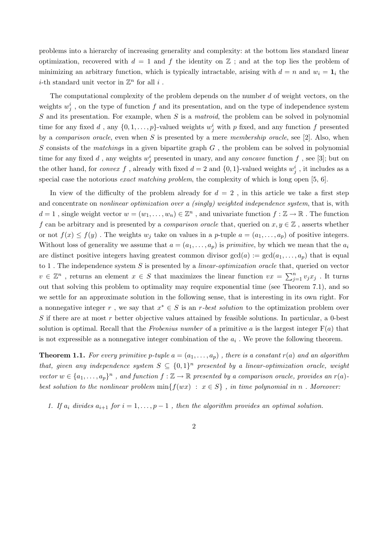problems into a hierarchy of increasing generality and complexity: at the bottom lies standard linear optimization, recovered with  $d = 1$  and f the identity on  $\mathbb{Z}$ ; and at the top lies the problem of minimizing an arbitrary function, which is typically intractable, arising with  $d = n$  and  $w_i = \mathbf{1}_i$  the *i*-th standard unit vector in  $\mathbb{Z}^n$  for all *i*.

The computational complexity of the problem depends on the number  $d$  of weight vectors, on the weights  $w_j^i$ , on the type of function f and its presentation, and on the type of independence system S and its presentation. For example, when S is a matroid, the problem can be solved in polynomial time for any fixed d, any  $\{0, 1, \ldots, p\}$ -valued weights  $w_j^i$  with p fixed, and any function f presented by a *comparison oracle*, even when  $S$  is presented by a mere *membership oracle*, see [2]. Also, when S consists of the matchings in a given bipartite graph  $G$ , the problem can be solved in polynomial time for any fixed d, any weights  $w_j^i$  presented in unary, and any *concave* function f, see [3]; but on the other hand, for *convex* f, already with fixed  $d = 2$  and  $\{0, 1\}$ -valued weights  $w_j^i$ , it includes as a special case the notorious *exact matching problem*, the complexity of which is long open [5, 6].

In view of the difficulty of the problem already for  $d = 2$ , in this article we take a first step and concentrate on *nonlinear optimization over a (singly)* weighted independence system, that is, with  $d=1$ , single weight vector  $w=(w_1,\ldots,w_n)\in\mathbb{Z}^n$ , and univariate function  $f:\mathbb{Z}\to\mathbb{R}$ . The function f can be arbitrary and is presented by a *comparison oracle* that, queried on  $x, y \in \mathbb{Z}$ , asserts whether or not  $f(x) \leq f(y)$ . The weights  $w_i$  take on values in a p-tuple  $a = (a_1, \ldots, a_p)$  of positive integers. Without loss of generality we assume that  $a = (a_1, \ldots, a_p)$  is *primitive*, by which we mean that the  $a_i$ are distinct positive integers having greatest common divisor  $gcd(a) := gcd(a_1, \ldots, a_p)$  that is equal to 1. The independence system  $S$  is presented by a *linear-optimization oracle* that, queried on vector  $v \in \mathbb{Z}^n$ , returns an element  $x \in S$  that maximizes the linear function  $vx = \sum_{j=1}^n v_j x_j$ . It turns out that solving this problem to optimality may require exponential time (see Theorem 7.1), and so we settle for an approximate solution in the following sense, that is interesting in its own right. For a nonnegative integer r, we say that  $x^* \in S$  is an r-best solution to the optimization problem over S if there are at most  $r$  better objective values attained by feasible solutions. In particular, a 0-best solution is optimal. Recall that the Frobenius number of a primitive a is the largest integer  $F(a)$  that is not expressible as a nonnegative integer combination of the  $a_i$ . We prove the following theorem.

**Theorem 1.1.** For every primitive p-tuple  $a = (a_1, \ldots, a_p)$ , there is a constant  $r(a)$  and an algorithm that, given any independence system  $S \subseteq \{0,1\}^n$  presented by a linear-optimization oracle, weight vector  $w \in \{a_1, \ldots, a_p\}^n$ , and function  $f : \mathbb{Z} \to \mathbb{R}$  presented by a comparison oracle, provides an  $r(a)$ . best solution to the nonlinear problem  $\min\{f(wx) : x \in S\}$ , in time polynomial in n. Moreover:

1. If  $a_i$  divides  $a_{i+1}$  for  $i = 1, \ldots, p-1$ , then the algorithm provides an optimal solution.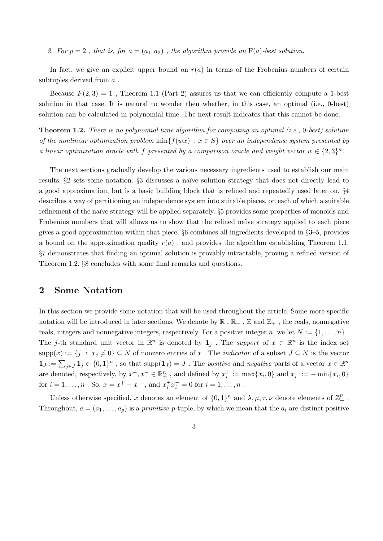2. For  $p = 2$ , that is, for  $a = (a_1, a_2)$ , the algorithm provide an  $F(a)$ -best solution.

In fact, we give an explicit upper bound on  $r(a)$  in terms of the Frobenius numbers of certain subtuples derived from a .

Because  $F(2, 3) = 1$ , Theorem 1.1 (Part 2) assures us that we can efficiently compute a 1-best solution in that case. It is natural to wonder then whether, in this case, an optimal (i.e., 0-best) solution can be calculated in polynomial time. The next result indicates that this cannot be done.

Theorem 1.2. There is no polynomial time algorithm for computing an optimal (i.e., 0-best) solution of the nonlinear optimization problem  $min{f(wx) : x \in S}$  over an independence system presented by a linear optimization oracle with f presented by a comparison oracle and weight vector  $w \in \{2,3\}^n$ .

The next sections gradually develop the various necessary ingredients used to establish our main results. §2 sets some notation. §3 discusses a naïve solution strategy that does not directly lead to a good approximation, but is a basic building block that is refined and repeatedly used later on. §4 describes a way of partitioning an independence system into suitable pieces, on each of which a suitable refinement of the naïve strategy will be applied separately.  $\S5$  provides some properties of monoids and Frobenius numbers that will allows us to show that the refined naïve strategy applied to each piece gives a good approximation within that piece. §6 combines all ingredients developed in §3–5, provides a bound on the approximation quality  $r(a)$ , and provides the algorithm establishing Theorem 1.1. §7 demonstrates that finding an optimal solution is provably intractable, proving a refined version of Theorem 1.2. §8 concludes with some final remarks and questions.

#### 2 Some Notation

In this section we provide some notation that will be used throughout the article. Some more specific notation will be introduced in later sections. We denote by  $\mathbb{R}$ ,  $\mathbb{R}_+$ ,  $\mathbb{Z}$  and  $\mathbb{Z}_+$ , the reals, nonnegative reals, integers and nonnegative integers, respectively. For a positive integer n, we let  $N := \{1, \ldots, n\}$ . The j-th standard unit vector in  $\mathbb{R}^n$  is denoted by  $\mathbf{1}_j$ . The support of  $x \in \mathbb{R}^n$  is the index set  ${\rm supp}(x) := \{j : x_j \neq 0\} \subseteq N$  of nonzero entries of x. The *indicator* of a subset  $J \subseteq N$  is the vector  $\mathbf{1}_J := \sum_{j \in J} \mathbf{1}_j \in \{0,1\}^n$ , so that  $\text{supp}(\mathbf{1}_J) = J$ . The positive and negative parts of a vector  $x \in \mathbb{R}^n$ are denoted, respectively, by  $x^+, x^- \in \mathbb{R}^n_+$ , and defined by  $x^+_i := \max\{x_i, 0\}$  and  $x^-_i := -\min\{x_i, 0\}$ for  $i = 1, ..., n$ . So,  $x = x^+ - x^-$ , and  $x_i^+ x_i^- = 0$  for  $i = 1, ..., n$ .

Unless otherwise specified, x denotes an element of  $\{0,1\}^n$  and  $\lambda, \mu, \tau, \nu$  denote elements of  $\mathbb{Z}^p_+$ . Throughout,  $a = (a_1, \ldots, a_p)$  is a primitive p-tuple, by which we mean that the  $a_i$  are distinct positive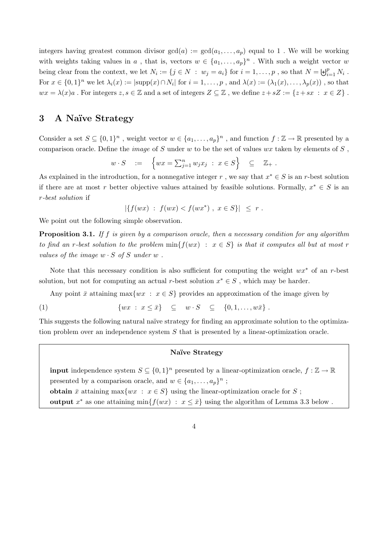integers having greatest common divisor  $gcd(a) := gcd(a_1, \ldots, a_p)$  equal to 1. We will be working with weights taking values in a, that is, vectors  $w \in \{a_1, \ldots, a_p\}^n$ . With such a weight vector u being clear from the context, we let  $N_i := \{j \in N : w_j = a_i\}$  for  $i = 1, \ldots, p$ , so that  $N = \biguplus_{i=1}^p N_i$ . For  $x \in \{0,1\}^n$  we let  $\lambda_i(x) := |\text{supp}(x) \cap N_i|$  for  $i = 1, \ldots, p$ , and  $\lambda(x) := (\lambda_1(x), \ldots, \lambda_p(x))$ , so that  $wx = \lambda(x)a$ . For integers  $z, s \in \mathbb{Z}$  and a set of integers  $Z \subseteq \mathbb{Z}$ , we define  $z + sZ := \{z + sx : x \in Z\}$ .

# 3 A Naïve Strategy

Consider a set  $S \subseteq \{0,1\}^n$ , weight vector  $w \in \{a_1,\ldots,a_p\}^n$ , and function  $f : \mathbb{Z} \to \mathbb{R}$  presented by a comparison oracle. Define the *image* of S under w to be the set of values  $wx$  taken by elements of S,

$$
w \cdot S = \left\{ wx = \sum_{j=1}^n w_j x_j \; : \; x \in S \right\} \subseteq \mathbb{Z}_+ .
$$

As explained in the introduction, for a nonnegative integer r, we say that  $x^* \in S$  is an r-best solution if there are at most r better objective values attained by feasible solutions. Formally,  $x^* \in S$  is an r-best solution if

$$
|\{f(wx) \ : \ f(wx) < f(wx^*) \ , \ x \in S\}| \leq r \ .
$$

We point out the following simple observation.

**Proposition 3.1.** If f is given by a comparison oracle, then a necessary condition for any algorithm to find an r-best solution to the problem  $\min\{f(wx) : x \in S\}$  is that it computes all but at most r values of the image  $w \cdot S$  of S under  $w$ .

Note that this necessary condition is also sufficient for computing the weight  $wx^*$  of an r-best solution, but not for computing an actual r-best solution  $x^* \in S$ , which may be harder.

Any point  $\bar{x}$  attaining max $\{wx : x \in S\}$  provides an approximation of the image given by

(1)  $\{wx : x \leq \bar{x}\} \subseteq w \cdot S \subseteq \{0, 1, ..., w\bar{x}\}.$ 

This suggests the following natural naïve strategy for finding an approximate solution to the optimization problem over an independence system  $S$  that is presented by a linear-optimization oracle.

#### Naïve Strategy

**input** independence system  $S \subseteq \{0,1\}^n$  presented by a linear-optimization oracle,  $f : \mathbb{Z} \to \mathbb{R}$ presented by a comparison oracle, and  $w \in \{a_1, \ldots, a_p\}^n$ ; obtain  $\bar{x}$  attaining max $\{wx : x \in S\}$  using the linear-optimization oracle for S; output  $x^*$  as one attaining min $\{f(wx) : x \leq \bar{x}\}\$ using the algorithm of Lemma 3.3 below.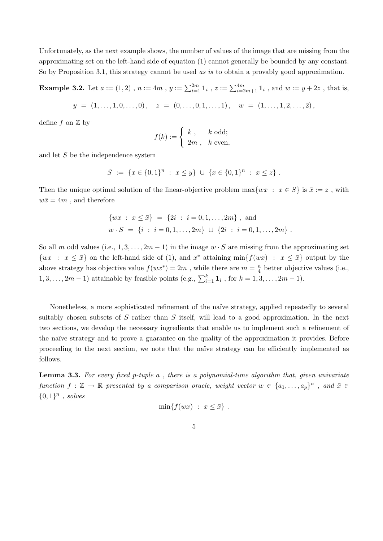Unfortunately, as the next example shows, the number of values of the image that are missing from the approximating set on the left-hand side of equation (1) cannot generally be bounded by any constant. So by Proposition 3.1, this strategy cannot be used as is to obtain a provably good approximation.

**Example 3.2.** Let  $a := (1,2)$ ,  $n := 4m$ ,  $y := \sum_{i=1}^{2m} 1_i$ ,  $z := \sum_{i=2m+1}^{4m} 1_i$ , and  $w := y + 2z$ , that is,

$$
y = (1, \ldots, 1, 0, \ldots, 0), \quad z = (0, \ldots, 0, 1, \ldots, 1), \quad w = (1, \ldots, 1, 2, \ldots, 2),
$$

define  $f$  on  $\mathbb Z$  by

$$
f(k) := \begin{cases} k, & k \text{ odd}; \\ 2m, & k \text{ even}, \end{cases}
$$

and let S be the independence system

$$
S := \{x \in \{0,1\}^n : x \leq y\} \cup \{x \in \{0,1\}^n : x \leq z\}.
$$

Then the unique optimal solution of the linear-objective problem  $\max\{wx : x \in S\}$  is  $\bar{x} := z$ , with  $w\bar{x} = 4m$ , and therefore

$$
\{wx : x \le \bar{x}\} = \{2i : i = 0, 1, ..., 2m\}, \text{ and}
$$
  

$$
w \cdot S = \{i : i = 0, 1, ..., 2m\} \cup \{2i : i = 0, 1, ..., 2m\}.
$$

So all m odd values (i.e.,  $1, 3, \ldots, 2m-1$ ) in the image  $w \cdot S$  are missing from the approximating set  $\{wx : x \leq \bar{x}\}\$  on the left-hand side of (1), and  $x^*$  attaining min $\{f(wx) : x \leq \bar{x}\}\$  output by the above strategy has objective value  $f(wx^*) = 2m$ , while there are  $m = \frac{n}{4}$  $\frac{n}{4}$  better objective values (i.e.,  $1, 3, \ldots, 2m-1$ ) attainable by feasible points (e.g.,  $\sum_{i=1}^{k} \mathbf{1}_i$ , for  $k = 1, 3, \ldots, 2m-1$ ).

Nonetheless, a more sophisticated refinement of the na¨ıve strategy, applied repeatedly to several suitably chosen subsets of S rather than S itself, will lead to a good approximation. In the next two sections, we develop the necessary ingredients that enable us to implement such a refinement of the naïve strategy and to prove a guarantee on the quality of the approximation it provides. Before proceeding to the next section, we note that the naïve strategy can be efficiently implemented as follows.

**Lemma 3.3.** For every fixed p-tuple  $a$ , there is a polynomial-time algorithm that, given univariate function  $f: \mathbb{Z} \to \mathbb{R}$  presented by a comparison oracle, weight vector  $w \in \{a_1, \ldots, a_p\}^n$ , and  $\bar{x} \in$  ${0,1}^n$ , solves

$$
\min\{f(wx) \; : \; x \leq \bar{x}\} \; .
$$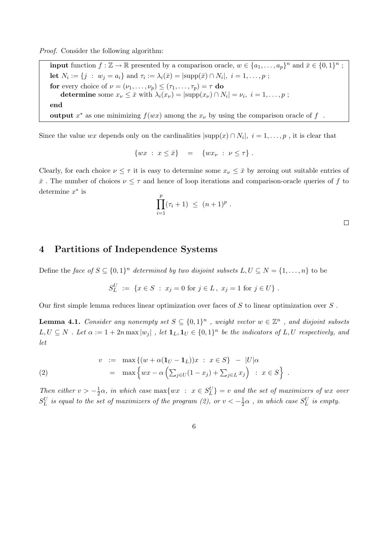Proof. Consider the following algorithm:

**input** function  $f : \mathbb{Z} \to \mathbb{R}$  presented by a comparison oracle,  $w \in \{a_1, \ldots, a_p\}^n$  and  $\bar{x} \in \{0, 1\}^n$ ; let  $N_i := \{j : w_j = a_i\}$  and  $\tau_i := \lambda_i(\bar{x}) = |\text{supp}(\bar{x}) \cap N_i|, i = 1, ..., p;$ for every choice of  $\nu = (\nu_1, \dots, \nu_p) \leq (\tau_1, \dots, \tau_p) = \tau$  do determine some  $x_{\nu} \leq \bar{x}$  with  $\lambda_i(x_{\nu}) = |\text{supp}(x_{\nu}) \cap N_i| = \nu_i, i = 1, \dots, p$ ; end output  $x^*$  as one minimizing  $f(wx)$  among the  $x_{\nu}$  by using the comparison oracle of  $f$ .

Since the value wx depends only on the cardinalities  $|\text{supp}(x) \cap N_i|, i = 1, \ldots, p$ , it is clear that

$$
\{wx \; : \; x \leq \bar{x}\} \quad = \quad \{wx_{\nu} \; : \; \nu \leq \tau\} \; .
$$

Clearly, for each choice  $\nu \leq \tau$  it is easy to determine some  $x_{\nu} \leq \bar{x}$  by zeroing out suitable entries of  $\bar{x}$ . The number of choices  $\nu \leq \tau$  and hence of loop iterations and comparison-oracle queries of f to determine  $x^*$  is

$$
\prod_{i=1}^p (\tau_i + 1) \ \le \ (n+1)^p \ .
$$

 $\Box$ 

#### 4 Partitions of Independence Systems

Define the face of  $S \subseteq \{0,1\}^n$  determined by two disjoint subsets  $L, U \subseteq N = \{1, \ldots, n\}$  to be

$$
S_L^U := \{ x \in S \; : \; x_j = 0 \text{ for } j \in L, \; x_j = 1 \text{ for } j \in U \} .
$$

Our first simple lemma reduces linear optimization over faces of  $S$  to linear optimization over  $S$ .

**Lemma 4.1.** Consider any nonempty set  $S \subseteq \{0,1\}^n$ , weight vector  $w \in \mathbb{Z}^n$ , and disjoint subsets  $L, U \subseteq N$ . Let  $\alpha := 1 + 2n \max |w_j|$ , let  $\mathbf{1}_L, \mathbf{1}_U \in \{0,1\}^n$  be the indicators of  $L, U$  respectively, and let

(2) 
$$
v := \max \{ (w + \alpha (\mathbf{1}_U - \mathbf{1}_L))x : x \in S \} - |U|\alpha = \max \{ wx - \alpha \left( \sum_{j \in U} (1 - x_j) + \sum_{j \in L} x_j \right) : x \in S \} .
$$

Then either  $v > -\frac{1}{2}$  $\frac{1}{2}\alpha$ , in which case  $\max\{wx \ : \ x \in S_L^U\} = v$  and the set of maximizers of wx over  $S_L^U$  is equal to the set of maximizers of the program (2), or  $v < -\frac{1}{2}$  $\frac{1}{2}\alpha$  , in which case  $S_L^U$  is empty.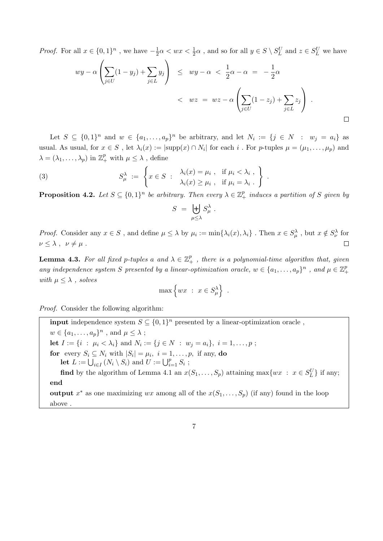*Proof.* For all  $x \in \{0,1\}^n$ , we have  $-\frac{1}{2}$  $\frac{1}{2}\alpha < wx < \frac{1}{2}\alpha$ , and so for all  $y \in S \setminus S_L^U$  and  $z \in S_L^U$  we have

$$
wy - \alpha \left( \sum_{j \in U} (1 - y_j) + \sum_{j \in L} y_j \right) \le wy - \alpha < \frac{1}{2}\alpha - \alpha = -\frac{1}{2}\alpha
$$
\n
$$
< wz = wz - \alpha \left( \sum_{j \in U} (1 - z_j) + \sum_{j \in L} z_j \right) .
$$

.

Let  $S \subseteq \{0,1\}^n$  and  $w \in \{a_1,\ldots,a_p\}^n$  be arbitrary, and let  $N_i := \{j \in N : w_j = a_i\}$  as usual. As usual, for  $x \in S$ , let  $\lambda_i(x) := |\text{supp}(x) \cap N_i|$  for each i. For p-tuples  $\mu = (\mu_1, \dots, \mu_p)$  and  $\lambda = (\lambda_1, \ldots, \lambda_p)$  in  $\mathbb{Z}_+^p$  with  $\mu \leq \lambda$ , define

(3) 
$$
S_{\mu}^{\lambda} := \left\{ x \in S : \begin{array}{c} \lambda_i(x) = \mu_i , & \text{if } \mu_i < \lambda_i , \\ \lambda_i(x) \ge \mu_i , & \text{if } \mu_i = \lambda_i . \end{array} \right\}
$$

**Proposition 4.2.** Let  $S \subseteq \{0,1\}^n$  be arbitrary. Then every  $\lambda \in \mathbb{Z}_{+}^p$  induces a partition of S given by

$$
S = \biguplus_{\mu \leq \lambda} S_{\mu}^{\lambda} .
$$

*Proof.* Consider any  $x \in S$ , and define  $\mu \leq \lambda$  by  $\mu_i := \min\{\lambda_i(x), \lambda_i\}$ . Then  $x \in S_\mu^\lambda$ , but  $x \notin S_\nu^\lambda$  for  $\nu \leq \lambda$ ,  $\nu \neq \mu$ .  $\Box$ 

**Lemma 4.3.** For all fixed p-tuples a and  $\lambda \in \mathbb{Z}_{+}^{p}$ , there is a polynomial-time algorithm that, given any independence system S presented by a linear-optimization oracle,  $w \in \{a_1, \ldots, a_p\}^n$ , and  $\mu \in \mathbb{Z}_{+}^p$ + with  $\mu \leq \lambda$ , solves

$$
\max\left\{wx \; : \; x \in S_\mu^\lambda\right\}
$$

.

Proof. Consider the following algorithm:

**input** independence system  $S \subseteq \{0,1\}^n$  presented by a linear-optimization oracle,  $w \in \{a_1, \ldots, a_p\}^n$ , and  $\mu \leq \lambda$ ; **let**  $I := \{i : \mu_i < \lambda_i\}$  and  $N_i := \{j \in N : w_j = a_i\}, i = 1, ..., p;$ for every  $S_i \subseteq N_i$  with  $|S_i| = \mu_i$ ,  $i = 1, \ldots, p$ , if any, do let  $L := \bigcup_{i \in I} (N_i \setminus S_i)$  and  $U := \bigcup_{i=1}^p S_i$ ; **find** by the algorithm of Lemma 4.1 an  $x(S_1, \ldots, S_p)$  attaining max $\{wx : x \in S_L^U\}$  if any; end output  $x^*$  as one maximizing  $wx$  among all of the  $x(S_1, \ldots, S_p)$  (if any) found in the loop above .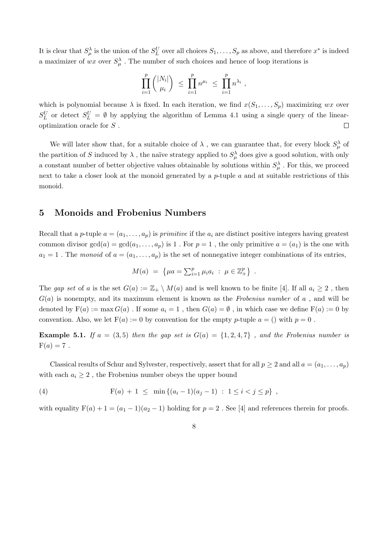It is clear that  $S_\mu^\lambda$  is the union of the  $S_L^U$  over all choices  $S_1,\ldots,S_p$  as above, and therefore  $x^*$  is indeed a maximizer of wx over  $S_\mu^\lambda$ . The number of such choices and hence of loop iterations is

$$
\prod_{i=1}^p \binom{|N_i|}{\mu_i} \ \leq \ \prod_{i=1}^p n^{\mu_i} \ \leq \ \prod_{i=1}^p n^{\lambda_i} \ ,
$$

which is polynomial because  $\lambda$  is fixed. In each iteration, we find  $x(S_1, \ldots, S_p)$  maximizing wx over  $S_L^U$  or detect  $S_L^U = \emptyset$  by applying the algorithm of Lemma 4.1 using a single query of the linearoptimization oracle for S .  $\Box$ 

We will later show that, for a suitable choice of  $\lambda$ , we can guarantee that, for every block  $S_{\mu}^{\lambda}$  of the partition of S induced by  $\lambda$ , the naïve strategy applied to  $S^{\lambda}_{\mu}$  does give a good solution, with only a constant number of better objective values obtainable by solutions within  $S^{\lambda}_{\mu}$ . For this, we proceed next to take a closer look at the monoid generated by a  $p$ -tuple  $a$  and at suitable restrictions of this monoid.

#### 5 Monoids and Frobenius Numbers

Recall that a p-tuple  $a = (a_1, \ldots, a_p)$  is primitive if the  $a_i$  are distinct positive integers having greatest common divisor  $gcd(a) = gcd(a_1, \ldots, a_p)$  is 1. For  $p = 1$ , the only primitive  $a = (a_1)$  is the one with  $a_1 = 1$ . The monoid of  $a = (a_1, \ldots, a_p)$  is the set of nonnegative integer combinations of its entries,

$$
M(a) = \{ \mu a = \sum_{i=1}^p \mu_i a_i : \mu \in \mathbb{Z}_+^p \} .
$$

The gap set of a is the set  $G(a) := \mathbb{Z}_+ \setminus M(a)$  and is well known to be finite [4]. If all  $a_i \geq 2$ , then  $G(a)$  is nonempty, and its maximum element is known as the Frobenius number of a, and will be denoted by  $F(a) := \max G(a)$ . If some  $a_i = 1$ , then  $G(a) = \emptyset$ , in which case we define  $F(a) := 0$  by convention. Also, we let  $F(a) := 0$  by convention for the empty p-tuple  $a = ()$  with  $p = 0$ .

**Example 5.1.** If  $a = (3, 5)$  then the gap set is  $G(a) = \{1, 2, 4, 7\}$ , and the Frobenius number is  $F(a) = 7$ .

Classical results of Schur and Sylvester, respectively, assert that for all  $p \ge 2$  and all  $a = (a_1, \ldots, a_p)$ with each  $a_i \geq 2$ , the Frobenius number obeys the upper bound

(4) 
$$
F(a) + 1 \leq \min\{(a_i - 1)(a_j - 1) : 1 \leq i < j \leq p\},
$$

with equality  $F(a) + 1 = (a_1 - 1)(a_2 - 1)$  holding for  $p = 2$ . See [4] and references therein for proofs.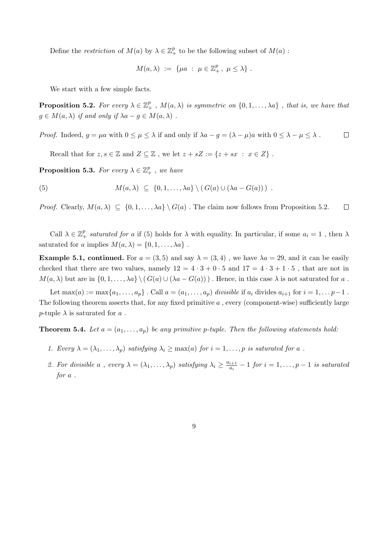Define the *restriction* of  $M(a)$  by  $\lambda \in \mathbb{Z}_+^p$  to be the following subset of  $M(a)$ :

$$
M(a,\lambda) \ := \ \{\mu a \ : \ \mu \in \mathbb{Z}_+^p \, , \ \mu \leq \lambda \} \ .
$$

We start with a few simple facts.

**Proposition 5.2.** For every  $\lambda \in \mathbb{Z}_{+}^{p}$ ,  $M(a,\lambda)$  is symmetric on  $\{0,1,\ldots,\lambda a\}$ , that is, we have that  $g \in M(a, \lambda)$  if and only if  $\lambda a - g \in M(a, \lambda)$ .

*Proof.* Indeed,  $g = \mu a$  with  $0 \le \mu \le \lambda$  if and only if  $\lambda a - g = (\lambda - \mu)a$  with  $0 \le \lambda - \mu \le \lambda$ .  $\Box$ 

Recall that for  $z, s \in \mathbb{Z}$  and  $Z \subseteq \mathbb{Z}$ , we let  $z + sZ := \{z + sx \; : \; x \in Z\}$ .

**Proposition 5.3.** For every  $\lambda \in \mathbb{Z}_{+}^{p}$ , we have

(5) 
$$
M(a,\lambda) \subseteq \{0,1,\ldots,\lambda a\} \setminus (G(a) \cup (\lambda a - G(a)))
$$

*Proof.* Clearly,  $M(a, \lambda) \subseteq \{0, 1, ..., \lambda a\} \setminus G(a)$ . The claim now follows from Proposition 5.2.  $\Box$ 

Call  $\lambda \in \mathbb{Z}_+^p$  saturated for a if (5) holds for  $\lambda$  with equality. In particular, if some  $a_i = 1$ , then  $\lambda$ saturated for a implies  $M(a, \lambda) = \{0, 1, \ldots, \lambda a\}$ .

**Example 5.1, continued.** For  $a = (3, 5)$  and say  $\lambda = (3, 4)$ , we have  $\lambda a = 29$ , and it can be easily checked that there are two values, namely  $12 = 4 \cdot 3 + 0 \cdot 5$  and  $17 = 4 \cdot 3 + 1 \cdot 5$ , that are not in  $M(a, \lambda)$  but are in  $\{0, 1, \ldots, \lambda a\} \setminus (G(a) \cup (\lambda a - G(a)))$ . Hence, in this case  $\lambda$  is not saturated for a.

Let  $\max(a) := \max\{a_1, \ldots, a_p\}$ . Call  $a = (a_1, \ldots, a_p)$  divisible if  $a_i$  divides  $a_{i+1}$  for  $i = 1, \ldots p-1$ . The following theorem asserts that, for any fixed primitive  $a$ , every (component-wise) sufficiently large p-tuple  $\lambda$  is saturated for a.

**Theorem 5.4.** Let  $a = (a_1, \ldots, a_p)$  be any primitive p-tuple. Then the following statements hold:

- 1. Every  $\lambda = (\lambda_1, \ldots, \lambda_p)$  satisfying  $\lambda_i \ge \max(a)$  for  $i = 1, \ldots, p$  is saturated for a.
- 2. For divisible a, every  $\lambda = (\lambda_1, \ldots, \lambda_p)$  satisfying  $\lambda_i \geq \frac{a_{i+1}}{a_i}$  $\frac{i+1}{a_i}-1$  for  $i=1,\ldots,p-1$  is saturated for a .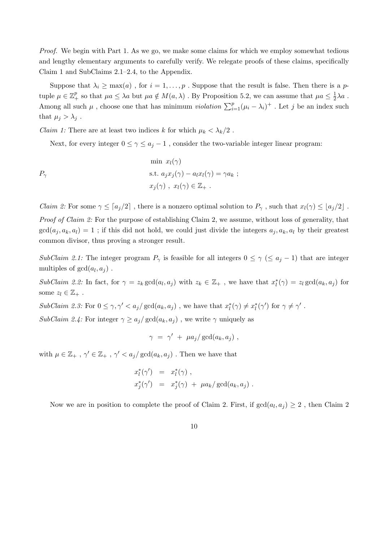Proof. We begin with Part 1. As we go, we make some claims for which we employ somewhat tedious and lengthy elementary arguments to carefully verify. We relegate proofs of these claims, specifically Claim 1 and SubClaims 2.1–2.4, to the Appendix.

Suppose that  $\lambda_i \geq \max(a)$ , for  $i = 1, \ldots, p$ . Suppose that the result is false. Then there is a ptuple  $\mu \in \mathbb{Z}_{+}^{p}$  so that  $\mu a \leq \lambda a$  but  $\mu a \notin M(a,\lambda)$ . By Proposition 5.2, we can assume that  $\mu a \leq \frac{1}{2}$  $\frac{1}{2}\lambda a$ . Among all such  $\mu$ , choose one that has minimum *violation*  $\sum_{i=1}^{p} (\mu_i - \lambda_i)^+$ . Let j be an index such that  $\mu_j > \lambda_j$ .

*Claim 1:* There are at least two indices k for which  $\mu_k < \lambda_k/2$ .

Next, for every integer  $0 \leq \gamma \leq a_i - 1$ , consider the two-variable integer linear program:

$$
P_{\gamma}
$$
\n
$$
\min x_{l}(\gamma)
$$
\n
$$
\text{s.t. } a_{j}x_{j}(\gamma) - a_{l}x_{l}(\gamma) = \gamma a_{k} ;
$$
\n
$$
x_{j}(\gamma), x_{l}(\gamma) \in \mathbb{Z}_{+} .
$$

*Claim 2:* For some  $\gamma \leq [a_j/2]$ , there is a nonzero optimal solution to  $P_\gamma$ , such that  $x_l(\gamma) \leq [a_j/2]$ . Proof of Claim 2: For the purpose of establishing Claim 2, we assume, without loss of generality, that  $gcd(a_j, a_k, a_l) = 1$ ; if this did not hold, we could just divide the integers  $a_j, a_k, a_l$  by their greatest common divisor, thus proving a stronger result.

SubClaim 2.1: The integer program  $P_{\gamma}$  is feasible for all integers  $0 \leq \gamma \leq a_j - 1$  that are integer multiples of  $gcd(a_l, a_j)$ .

SubClaim 2.2: In fact, for  $\gamma = z_k \gcd(a_l, a_j)$  with  $z_k \in \mathbb{Z}_+$ , we have that  $x_l^*(\gamma) = z_l \gcd(a_k, a_j)$  for some  $z_l \in \mathbb{Z}_+$ .

 $SubClaim 2.3: For 0 \le \gamma, \gamma' < a_j/\gcd(a_k, a_j)$ , we have that  $x_l^*(\gamma) \ne x_l^*(\gamma')$  for  $\gamma \ne \gamma'$ .

SubClaim 2.4: For integer  $\gamma \ge a_j/gcd(a_k, a_j)$ , we write  $\gamma$  uniquely as

$$
\gamma = \gamma' + \mu a_j / \gcd(a_k, a_j) ,
$$

with  $\mu \in \mathbb{Z}_+$ ,  $\gamma' \in \mathbb{Z}_+$ ,  $\gamma' < a_j / \gcd(a_k, a_j)$ . Then we have that

$$
x_l^*(\gamma') = x_l^*(\gamma) ,
$$
  
\n
$$
x_j^*(\gamma') = x_j^*(\gamma) + \mu a_k / \gcd(a_k, a_j) .
$$

Now we are in position to complete the proof of Claim 2. First, if  $gcd(a_l, a_j) \geq 2$ , then Claim 2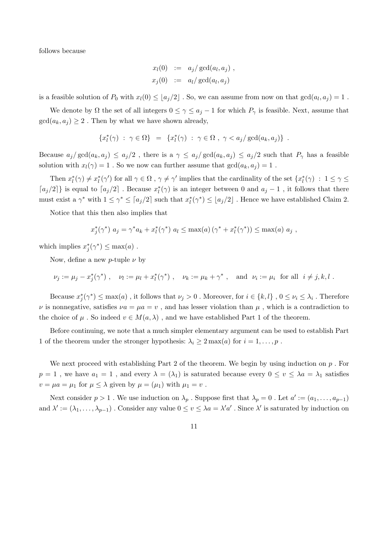follows because

$$
x_l(0) := a_j/gcd(a_l, a_j),
$$
  

$$
x_j(0) := a_l/gcd(a_l, a_j)
$$

is a feasible solution of  $P_0$  with  $x_l(0) \leq \lfloor a_j/2 \rfloor$ . So, we can assume from now on that  $gcd(a_l, a_j) = 1$ .

We denote by  $\Omega$  the set of all integers  $0 \leq \gamma \leq a_j - 1$  for which  $P_\gamma$  is feasible. Next, assume that  $gcd(a_k, a_j) \geq 2$ . Then by what we have shown already,

$$
\{x_l^*(\gamma) \ : \ \gamma \in \Omega\} \ = \ \{x_l^*(\gamma) \ : \ \gamma \in \Omega \ , \ \gamma < a_j/\gcd(a_k, a_j)\} \ .
$$

Because  $a_j/gcd(a_k, a_j) \leq a_j/2$ , there is a  $\gamma \leq a_j/gcd(a_k, a_j) \leq a_j/2$  such that  $P_\gamma$  has a feasible solution with  $x_l(\gamma) = 1$ . So we now can further assume that  $gcd(a_k, a_j) = 1$ .

Then  $x_l^*(\gamma) \neq x_l^*(\gamma')$  for all  $\gamma \in \Omega$ ,  $\gamma \neq \gamma'$  implies that the cardinality of the set  $\{x_l^*(\gamma) : 1 \leq \gamma \leq \gamma' \}$  $[a_j/2]$ } is equal to  $[a_j/2]$ . Because  $x_l^*(\gamma)$  is an integer between 0 and  $a_j - 1$ , it follows that there must exist a  $\gamma^*$  with  $1 \leq \gamma^* \leq \lceil a_j/2 \rceil$  such that  $x_l^*(\gamma^*) \leq \lfloor a_j/2 \rfloor$ . Hence we have established Claim 2.

Notice that this then also implies that

$$
x_j^*(\gamma^*)
$$
  $a_j = \gamma^* a_k + x_l^*(\gamma^*)$   $a_l \leq \max(a) (\gamma^* + x_l^*(\gamma^*)) \leq \max(a) a_j$ ,

which implies  $x_j^*(\gamma^*) \leq \max(a)$ .

Now, define a new p-tuple  $\nu$  by

$$
\nu_j := \mu_j - x_j^*(\gamma^*) , \quad \nu_l := \mu_l + x_l^*(\gamma^*) , \quad \nu_k := \mu_k + \gamma^* , \quad \text{and} \ \nu_i := \mu_i \ \text{ for all } \ i \neq j, k, l .
$$

Because  $x_j^*(\gamma^*) \le \max(a)$ , it follows that  $\nu_j > 0$ . Moreover, for  $i \in \{k, l\}$ ,  $0 \le \nu_i \le \lambda_i$ . Therefore  $\nu$  is nonnegative, satisfies  $\nu a = \mu a = v$ , and has lesser violation than  $\mu$ , which is a contradiction to the choice of  $\mu$ . So indeed  $v \in M(a,\lambda)$ , and we have established Part 1 of the theorem.

Before continuing, we note that a much simpler elementary argument can be used to establish Part 1 of the theorem under the stronger hypothesis:  $\lambda_i \geq 2 \max(a)$  for  $i = 1, \ldots, p$ .

We next proceed with establishing Part 2 of the theorem. We begin by using induction on  $p$ . For  $p = 1$ , we have  $a_1 = 1$ , and every  $\lambda = (\lambda_1)$  is saturated because every  $0 \le v \le \lambda a = \lambda_1$  satisfies  $v = \mu a = \mu_1$  for  $\mu \leq \lambda$  given by  $\mu = (\mu_1)$  with  $\mu_1 = v$ .

Next consider  $p > 1$ . We use induction on  $\lambda_p$ . Suppose first that  $\lambda_p = 0$ . Let  $a' := (a_1, \ldots, a_{p-1})$ and  $\lambda' := (\lambda_1, \ldots, \lambda_{p-1})$ . Consider any value  $0 \le v \le \lambda a = \lambda' a'$ . Since  $\lambda'$  is saturated by induction on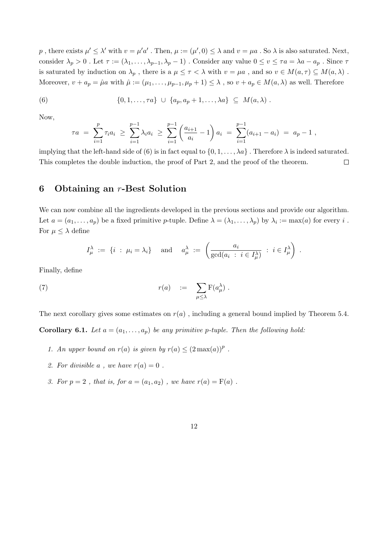p, there exists  $\mu' \leq \lambda'$  with  $v = \mu' a'$ . Then,  $\mu := (\mu', 0) \leq \lambda$  and  $v = \mu a$ . So  $\lambda$  is also saturated. Next, consider  $\lambda_p > 0$ . Let  $\tau := (\lambda_1, \ldots, \lambda_{p-1}, \lambda_p - 1)$ . Consider any value  $0 \le v \le \tau a = \lambda a - a_p$ . Since  $\tau$ is saturated by induction on  $\lambda_p$ , there is a  $\mu \leq \tau < \lambda$  with  $v = \mu a$ , and so  $v \in M(a, \tau) \subseteq M(a, \lambda)$ . Moreover,  $v + a_p = \hat{\mu}a$  with  $\hat{\mu} := (\mu_1, \dots, \mu_{p-1}, \mu_p + 1) \leq \lambda$ , so  $v + a_p \in M(a, \lambda)$  as well. Therefore

(6) 
$$
\{0,1,\ldots,\tau a\} \cup \{a_p,a_p+1,\ldots,\lambda a\} \subseteq M(a,\lambda).
$$

Now,

$$
\tau a = \sum_{i=1}^p \tau_i a_i \geq \sum_{i=1}^{p-1} \lambda_i a_i \geq \sum_{i=1}^{p-1} \left( \frac{a_{i+1}}{a_i} - 1 \right) a_i = \sum_{i=1}^{p-1} (a_{i+1} - a_i) = a_p - 1,
$$

implying that the left-hand side of (6) is in fact equal to  $\{0, 1, \ldots, \lambda a\}$ . Therefore  $\lambda$  is indeed saturated. This completes the double induction, the proof of Part 2, and the proof of the theorem.  $\Box$ 

#### 6 Obtaining an r-Best Solution

We can now combine all the ingredients developed in the previous sections and provide our algorithm. Let  $a=(a_1,\ldots,a_p)$  be a fixed primitive p-tuple. Define  $\lambda=(\lambda_1,\ldots,\lambda_p)$  by  $\lambda_i:=\max(a)$  for every  $i$ . For  $\mu \leq \lambda$  define

$$
I^{\lambda}_{\mu} := \{i : \mu_i = \lambda_i\}
$$
 and  $a^{\lambda}_{\mu} := \left(\frac{a_i}{\gcd(a_i : i \in I^{\lambda}_{\mu})} : i \in I^{\lambda}_{\mu}\right)$ .

Finally, define

(7) 
$$
r(a) := \sum_{\mu \leq \lambda} \mathbf{F}(a_{\mu}^{\lambda}).
$$

The next corollary gives some estimates on  $r(a)$ , including a general bound implied by Theorem 5.4.

**Corollary 6.1.** Let  $a = (a_1, \ldots, a_p)$  be any primitive p-tuple. Then the following hold:

- 1. An upper bound on  $r(a)$  is given by  $r(a) \leq (2 \max(a))^p$ .
- 2. For divisible a, we have  $r(a) = 0$ .
- 3. For  $p = 2$ , that is, for  $a = (a_1, a_2)$ , we have  $r(a) = F(a)$ .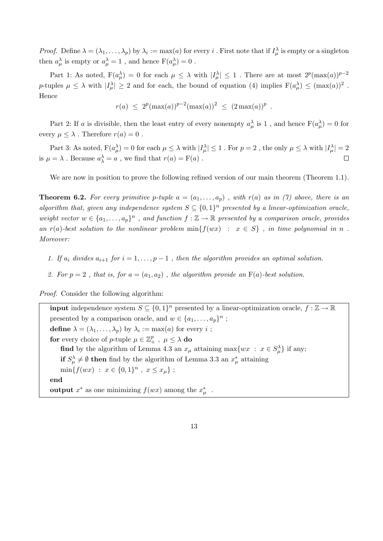*Proof.* Define  $\lambda = (\lambda_1, \ldots, \lambda_p)$  by  $\lambda_i := \max(a)$  for every i. First note that if  $I_\mu^\lambda$  is empty or a singleton then  $a_{\mu}^{\lambda}$  is empty or  $a_{\mu}^{\lambda} = 1$ , and hence  $F(a_{\mu}^{\lambda}) = 0$ .

Part 1: As noted,  $F(a^{\lambda}_{\mu}) = 0$  for each  $\mu \leq \lambda$  with  $|I^{\lambda}_{\mu}| \leq 1$ . There are at most  $2^{p}(\max(a))^{p-2}$ p-tuples  $\mu \leq \lambda$  with  $|I_{\mu}^{\lambda}| \geq 2$  and for each, the bound of equation (4) implies  $F(a_{\mu}^{\lambda}) \leq (\max(a))^2$ . Hence

$$
r(a) \leq 2^p(\max(a))^{p-2}(\max(a))^2 \leq (2\max(a))^p.
$$

Part 2: If a is divisible, then the least entry of every nonempty  $a_\mu^{\lambda}$  is 1, and hence  $F(a_\mu^{\lambda}) = 0$  for every  $\mu \leq \lambda$ . Therefore  $r(a) = 0$ .

Part 3: As noted,  $F(a^{\lambda}_{\mu}) = 0$  for each  $\mu \leq \lambda$  with  $|I^{\lambda}_{\mu}| \leq 1$  . For  $p = 2$  , the only  $\mu \leq \lambda$  with  $|I^{\lambda}_{\mu}| = 2$ is  $\mu = \lambda$ . Because  $a_{\lambda}^{\lambda} = a$ , we find that  $r(a) = F(a)$ .  $\Box$ 

We are now in position to prove the following refined version of our main theorem (Theorem 1.1).

**Theorem 6.2.** For every primitive p-tuple  $a = (a_1, \ldots, a_p)$ , with  $r(a)$  as in (7) above, there is an algorithm that, given any independence system  $S \subseteq \{0,1\}^n$  presented by a linear-optimization oracle, weight vector  $w \in \{a_1, \ldots, a_p\}^n$ , and function  $f : \mathbb{Z} \to \mathbb{R}$  presented by a comparison oracle, provides an r(a)-best solution to the nonlinear problem  $\min\{f(wx) : x \in S\}$ , in time polynomial in n. Moreover:

- 1. If  $a_i$  divides  $a_{i+1}$  for  $i = 1, \ldots, p-1$ , then the algorithm provides an optimal solution.
- 2. For  $p = 2$ , that is, for  $a = (a_1, a_2)$ , the algorithm provide an  $F(a)$ -best solution.

Proof. Consider the following algorithm:

**input** independence system  $S \subseteq \{0,1\}^n$  presented by a linear-optimization oracle,  $f : \mathbb{Z} \to \mathbb{R}$ presented by a comparison oracle, and  $w \in \{a_1, \ldots, a_p\}^n$ ; define  $\lambda = (\lambda_1, \ldots, \lambda_p)$  by  $\lambda_i := \max(a)$  for every i; for every choice of *p*-tuple  $\mu \in \mathbb{Z}_+^p$ ,  $\mu \leq \lambda$  do find by the algorithm of Lemma 4.3 an  $x_{\mu}$  attaining max $\{wx : x \in S^{\lambda}_{\mu}\}\$ if any; if  $S_{\mu}^{\lambda} \neq \emptyset$  then find by the algorithm of Lemma 3.3 an  $x_{\mu}^{*}$  attaining  $\min\{f(wx) : x \in \{0,1\}^n, x \leq x_\mu\};$ end output  $x^*$  as one minimizing  $f(wx)$  among the  $x^*_{\mu}$ .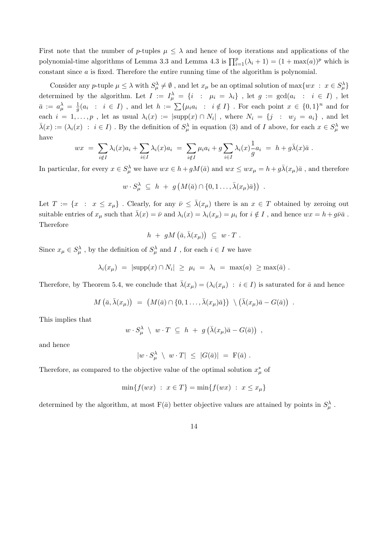First note that the number of p-tuples  $\mu \leq \lambda$  and hence of loop iterations and applications of the polynomial-time algorithms of Lemma 3.3 and Lemma 4.3 is  $\prod_{i=1}^{p} (\lambda_i + 1) = (1 + \max(a))^p$  which is constant since a is fixed. Therefore the entire running time of the algorithm is polynomial.

Consider any p-tuple  $\mu \leq \lambda$  with  $S_{\mu}^{\lambda} \neq \emptyset$ , and let  $x_{\mu}$  be an optimal solution of max $\{wx : x \in S_{\mu}^{\lambda}\}\$ determined by the algorithm. Let  $I := I^{\lambda}_{\mu} = \{i : \mu_i = \lambda_i\}$ , let  $g := \gcd(a_i : i \in I)$ , let  $\bar{a} \, := \, a_\mu^\lambda \, = \, \frac{1}{q}$  $\frac{1}{g}(a_i : i \in I)$ , and let  $h := \sum \{\mu_i a_i : i \notin I\}$ . For each point  $x \in \{0,1\}^n$  and for each  $i = 1, \ldots, p$ , let as usual  $\lambda_i(x) := |\text{supp}(x) \cap N_i|$ , where  $N_i = \{j : w_j = a_i\}$ , and let  $\bar{\lambda}(x) := (\lambda_i(x) : i \in I)$ . By the definition of  $S_\mu^\lambda$  in equation (3) and of I above, for each  $x \in S_\mu^\lambda$  we have

$$
wx = \sum_{i \notin I} \lambda_i(x) a_i + \sum_{i \in I} \lambda_i(x) a_i = \sum_{i \notin I} \mu_i a_i + g \sum_{i \in I} \lambda_i(x) \frac{1}{g} a_i = h + g \bar{\lambda}(x) \bar{a} .
$$

In particular, for every  $x \in S_\mu^\lambda$  we have  $wx \in h + gM(\bar{a})$  and  $wx \le wx_\mu = h + g\bar{\lambda}(x_\mu)\bar{a}$  , and therefore

$$
w \cdot S_{\mu}^{\lambda} \subseteq h + g\left(M(\bar{a}) \cap \{0, 1 \dots, \bar{\lambda}(x_{\mu})\bar{a}\}\right) .
$$

Let  $T := \{x : x \leq x_\mu\}$ . Clearly, for any  $\overline{\nu} \leq \overline{\lambda}(x_\mu)$  there is an  $x \in T$  obtained by zeroing out suitable entries of  $x_\mu$  such that  $\bar{\lambda}(x) = \bar{\nu}$  and  $\lambda_i(x) = \lambda_i(x_\mu) = \mu_i$  for  $i \notin I$ , and hence  $wx = h + g\bar{\nu}\bar{a}$ . Therefore

$$
h + gM\left(\bar{a}, \bar{\lambda}(x_{\mu})\right) \ \subseteq \ w \cdot T \ .
$$

Since  $x_{\mu} \in S^{\lambda}_{\mu}$ , by the definition of  $S^{\lambda}_{\mu}$  and I, for each  $i \in I$  we have

$$
\lambda_i(x_\mu) = |\text{supp}(x) \cap N_i| \ge \mu_i = \lambda_i = \max(a) \ge \max(\bar{a}).
$$

Therefore, by Theorem 5.4, we conclude that  $\bar{\lambda}(x_{\mu}) = (\lambda_i(x_{\mu}) : i \in I)$  is saturated for  $\bar{a}$  and hence

$$
M\left(\bar{a}, \bar{\lambda}(x_{\mu})\right) = \left(M(\bar{a}) \cap \{0, 1 \dots, \bar{\lambda}(x_{\mu})\bar{a}\}\right) \setminus \left(\bar{\lambda}(x_{\mu})\bar{a} - G(\bar{a})\right) .
$$

This implies that

$$
w\cdot S_\mu^\lambda \quad \downarrow \ w\cdot T \ \subseteq \ h \ + \ g\left(\bar{\lambda}(x_\mu)\bar{a} - G(\bar{a})\right) \ ,
$$

and hence

$$
|w \cdot S_\mu^\lambda \setminus w \cdot T| \leq |G(\bar{a})| = F(\bar{a}) .
$$

Therefore, as compared to the objective value of the optimal solution  $x^*_{\mu}$  of

$$
\min\{f(wx) : x \in T\} = \min\{f(wx) : x \le x_\mu\}
$$

determined by the algorithm, at most  $F(\bar{a})$  better objective values are attained by points in  $S^{\lambda}_{\mu}$ .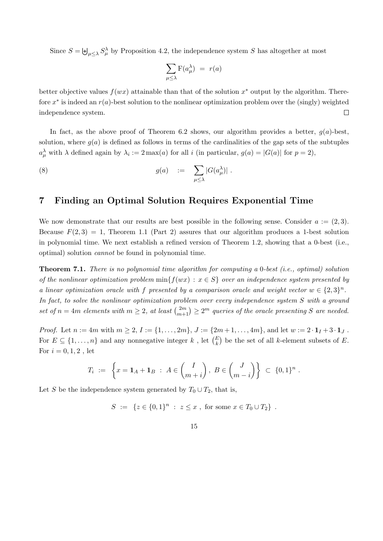Since  $S = \biguplus_{\mu \leq \lambda} S_{\mu}^{\lambda}$  by Proposition 4.2, the independence system S has altogether at most

$$
\sum_{\mu \leq \lambda} \mathbf{F}(a_{\mu}^{\lambda}) = r(a)
$$

better objective values  $f(wx)$  attainable than that of the solution  $x^*$  output by the algorithm. Therefore  $x^*$  is indeed an  $r(a)$ -best solution to the nonlinear optimization problem over the (singly) weighted  $\Box$ independence system.

In fact, as the above proof of Theorem 6.2 shows, our algorithm provides a better,  $q(a)$ -best, solution, where  $g(a)$  is defined as follows in terms of the cardinalities of the gap sets of the subtuples  $a_{\mu}^{\lambda}$  with  $\lambda$  defined again by  $\lambda_i := 2 \max(a)$  for all i (in particular,  $g(a) = |G(a)|$  for  $p = 2$ ),

(8) 
$$
g(a) := \sum_{\mu \leq \lambda} |G(a_{\mu}^{\lambda})|.
$$

#### 7 Finding an Optimal Solution Requires Exponential Time

We now demonstrate that our results are best possible in the following sense. Consider  $a := (2, 3)$ . Because  $F(2, 3) = 1$ , Theorem 1.1 (Part 2) assures that our algorithm produces a 1-best solution in polynomial time. We next establish a refined version of Theorem 1.2, showing that a 0-best (i.e., optimal) solution cannot be found in polynomial time.

Theorem 7.1. There is no polynomial time algorithm for computing a 0-best (i.e., optimal) solution of the nonlinear optimization problem  $\min\{f(wx): x \in S\}$  over an independence system presented by a linear optimization oracle with f presented by a comparison oracle and weight vector  $w \in \{2,3\}^n$ . In fact, to solve the nonlinear optimization problem over every independence system S with a ground set of  $n = 4m$  elements with  $m \geq 2$ , at least  $\binom{2m}{m+1} \geq 2^m$  queries of the oracle presenting S are needed.

*Proof.* Let  $n := 4m$  with  $m \geq 2$ ,  $I := \{1, \ldots, 2m\}$ ,  $J := \{2m+1, \ldots, 4m\}$ , and let  $w := 2 \cdot 1_I + 3 \cdot 1_J$ . For  $E \subseteq \{1, \ldots, n\}$  and any nonnegative integer k, let  $\binom{E}{k}$  be the set of all k-element subsets of E. For  $i = 0, 1, 2$ , let

$$
T_i := \left\{ x = \mathbf{1}_A + \mathbf{1}_B \; : \; A \in \binom{I}{m+i}, \; B \in \binom{J}{m-i} \right\} \; \subset \; \{0,1\}^n \; .
$$

Let S be the independence system generated by  $T_0 \cup T_2$ , that is,

$$
S := \{ z \in \{0,1\}^n : z \leq x , \text{ for some } x \in T_0 \cup T_2 \} .
$$

15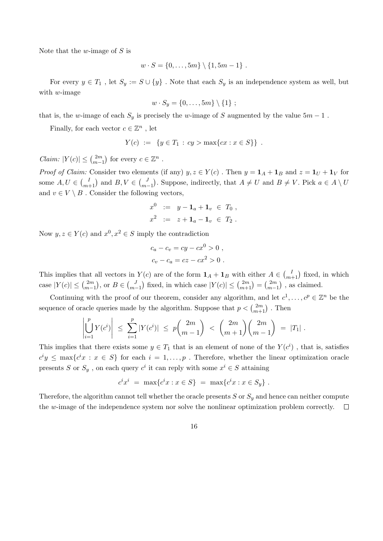Note that the w-image of  $S$  is

$$
w \cdot S = \{0, \ldots, 5m\} \setminus \{1, 5m - 1\} .
$$

For every  $y \in T_1$ , let  $S_y := S \cup \{y\}$ . Note that each  $S_y$  is an independence system as well, but with  $w$ -image

$$
w\cdot S_y=\{0,\ldots,5m\}\setminus\{1\};
$$

that is, the w-image of each  $S_y$  is precisely the w-image of S augmented by the value  $5m - 1$ .

Finally, for each vector  $c \in \mathbb{Z}^n$ , let

$$
Y(c) := \{ y \in T_1 : cy > \max\{ cx : x \in S \} \} .
$$

Claim:  $|Y(c)| \leq {2m \choose m}$  $\binom{2m}{m-1}$  for every  $c \in \mathbb{Z}^n$ .

*Proof of Claim:* Consider two elements (if any)  $y, z \in Y(c)$ . Then  $y = 1_A + 1_B$  and  $z = 1_U + 1_V$  for some  $A, U \in {I \choose m+1}$  and  $B, V \in {J \choose m-1}$  $\binom{J}{m-1}$ . Suppose, indirectly, that  $A \neq U$  and  $B \neq V$ . Pick  $a \in A \setminus U$ and  $v \in V \setminus B$ . Consider the following vectors,

$$
x^0 := y - \mathbf{1}_a + \mathbf{1}_v \in T_0 ,
$$
  

$$
x^2 := z + \mathbf{1}_a - \mathbf{1}_v \in T_2 .
$$

Now  $y, z \in Y(c)$  and  $x^0, x^2 \in S$  imply the contradiction

$$
c_a - c_v = cy - cx^0 > 0,
$$
  

$$
c_v - c_a = cz - cx^2 > 0.
$$

This implies that all vectors in  $Y(c)$  are of the form  $\mathbf{1}_A + \mathbf{1}_B$  with either  $A \in \begin{pmatrix} I \\ m+1 \end{pmatrix}$  fixed, in which case  $|Y(c)| \leq \binom{2m}{m}$  $\binom{2m}{m-1}$ , or  $B \in \binom{J}{m}$  $\binom{J}{m-1}$  fixed, in which case  $|Y(c)| \leq \binom{2m}{m+1} = \binom{2m}{m-1}$  $\binom{2m}{m-1}$ , as claimed.

Continuing with the proof of our theorem, consider any algorithm, and let  $c^1, \ldots, c^p \in \mathbb{Z}^n$  be the sequence of oracle queries made by the algorithm. Suppose that  $p < \binom{2m}{m+1}$ . Then

$$
\left|\bigcup_{i=1}^p Y(c^i)\right| \ \leq \ \sum_{i=1}^p |Y(c^i)| \ \leq \ p {2m \choose m-1} \ < \ {2m \choose m+1}{2m \choose m-1} \ = \ |T_1| \ .
$$

This implies that there exists some  $y \in T_1$  that is an element of none of the  $Y(c^i)$ , that is, satisfies  $c^i y \leq \max\{c^i x : x \in S\}$  for each  $i = 1, \ldots, p$ . Therefore, whether the linear optimization oracle presents S or  $S_y$ , on each query  $c^i$  it can reply with some  $x^i \in S$  attaining

$$
c^i x^i = \max\{c^i x : x \in S\} = \max\{c^i x : x \in S_y\}.
$$

Therefore, the algorithm cannot tell whether the oracle presents  $S$  or  $S_y$  and hence can neither compute the w-image of the independence system nor solve the nonlinear optimization problem correctly.  $\Box$ 

16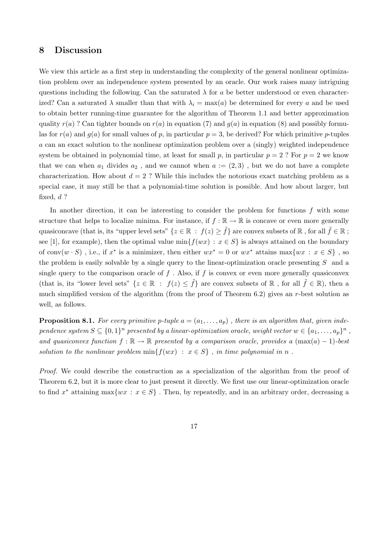#### 8 Discussion

We view this article as a first step in understanding the complexity of the general nonlinear optimization problem over an independence system presented by an oracle. Our work raises many intriguing questions including the following. Can the saturated  $\lambda$  for a be better understood or even characterized? Can a saturated  $\lambda$  smaller than that with  $\lambda_i = \max(a)$  be determined for every a and be used to obtain better running-time guarantee for the algorithm of Theorem 1.1 and better approximation quality  $r(a)$ ? Can tighter bounds on  $r(a)$  in equation (7) and  $q(a)$  in equation (8) and possibly formulas for  $r(a)$  and  $g(a)$  for small values of p, in particular  $p = 3$ , be derived? For which primitive p-tuples a can an exact solution to the nonlinear optimization problem over a (singly) weighted independence system be obtained in polynomial time, at least for small p, in particular  $p = 2$ ? For  $p = 2$  we know that we can when  $a_1$  divides  $a_2$ , and we cannot when  $a := (2,3)$ , but we do not have a complete characterization. How about  $d = 2$ ? While this includes the notorious exact matching problem as a special case, it may still be that a polynomial-time solution is possible. And how about larger, but fixed,  $d$  ?

In another direction, it can be interesting to consider the problem for functions  $f$  with some structure that helps to localize minima. For instance, if  $f : \mathbb{R} \to \mathbb{R}$  is concave or even more generally quasiconcave (that is, its "upper level sets" { $z \in \mathbb{R} : f(z) \geq \tilde{f}$ } are convex subsets of  $\mathbb{R}$ , for all  $\tilde{f} \in \mathbb{R}$ ; see [1], for example), then the optimal value  $\min\{f(wx): x \in S\}$  is always attained on the boundary of conv $(w \cdot S)$ , i.e., if  $x^*$  is a minimizer, then either  $wx^* = 0$  or  $wx^*$  attains  $\max\{wx : x \in S\}$ , so the problem is easily solvable by a single query to the linear-optimization oracle presenting  $S$  and a single query to the comparison oracle of  $f$ . Also, if  $f$  is convex or even more generally quasiconvex (that is, its "lower level sets" { $z \in \mathbb{R} : f(z) \leq \tilde{f}$ } are convex subsets of  $\mathbb{R}$ , for all  $\tilde{f} \in \mathbb{R}$ ), then a much simplified version of the algorithm (from the proof of Theorem 6.2) gives an r-best solution as well, as follows.

**Proposition 8.1.** For every primitive p-tuple  $a = (a_1, \ldots, a_p)$ , there is an algorithm that, given independence system  $S \subseteq \{0,1\}^n$  presented by a linear-optimization oracle, weight vector  $w \in \{a_1,\ldots,a_p\}^n$ , and quasiconvex function  $f : \mathbb{R} \to \mathbb{R}$  presented by a comparison oracle, provides a  $(\max(a) - 1)$ -best solution to the nonlinear problem  $min{f(wx) : x \in S}$ , in time polynomial in n.

Proof. We could describe the construction as a specialization of the algorithm from the proof of Theorem 6.2, but it is more clear to just present it directly. We first use our linear-optimization oracle to find x<sup>\*</sup> attaining max $\{wx : x \in S\}$ . Then, by repeatedly, and in an arbitrary order, decreasing a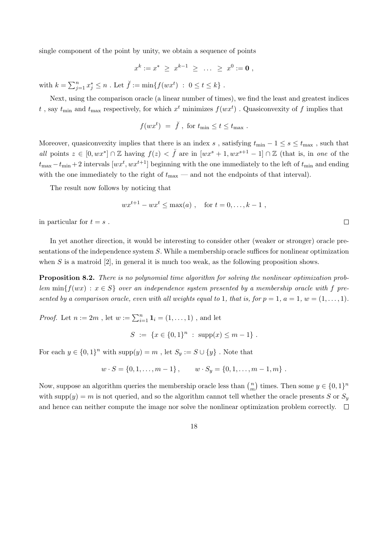single component of the point by unity, we obtain a sequence of points

$$
x^k := x^* \geq x^{k-1} \geq \ldots \geq x^0 := \mathbf{0} ,
$$

with  $k = \sum_{j=1}^n x_j^* \le n$ . Let  $\breve{f} := \min\{f(wx^t) : 0 \le t \le k\}$ .

Next, using the comparison oracle (a linear number of times), we find the least and greatest indices t, say  $t_{\min}$  and  $t_{\max}$  respectively, for which  $x^t$  minimizes  $f(wx^t)$ . Quasiconvexity of f implies that

$$
f(wx^t) = \breve{f}
$$
, for  $t_{\min} \le t \le t_{\max}$ .

Moreover, quasiconvexity implies that there is an index s, satisfying  $t_{\min} - 1 \leq s \leq t_{\max}$ , such that all points  $z \in [0, wx^*] \cap \mathbb{Z}$  having  $f(z) < \check{f}$  are in  $[wx^s + 1, wx^{s+1} - 1] \cap \mathbb{Z}$  (that is, in one of the  $t_{\text{max}} - t_{\text{min}} + 2$  intervals  $[wx^t, wx^{t+1}]$  beginning with the one immediately to the left of  $t_{\text{min}}$  and ending with the one immediately to the right of  $t_{\text{max}}$  — and not the endpoints of that interval).

The result now follows by noticing that

$$
wx^{t+1} - wx^t \le \max(a)
$$
, for  $t = 0, ..., k - 1$ ,

 $\Box$ 

in particular for  $t = s$ .

In yet another direction, it would be interesting to consider other (weaker or stronger) oracle presentations of the independence system S. While a membership oracle suffices for nonlinear optimization when  $S$  is a matroid  $[2]$ , in general it is much too weak, as the following proposition shows.

Proposition 8.2. There is no polynomial time algorithm for solving the nonlinear optimization problem  $\min\{f(wx): x \in S\}$  over an independence system presented by a membership oracle with f presented by a comparison oracle, even with all weights equal to 1, that is, for  $p = 1, a = 1, w = (1, \ldots, 1)$ .

*Proof.* Let  $n := 2m$  , let  $w := \sum_{i=1}^{n} \mathbf{1}_i = (1, \ldots, 1)$  , and let

$$
S := \{ x \in \{0,1\}^n : \text{supp}(x) \le m - 1 \} .
$$

For each  $y \in \{0,1\}^n$  with  $\text{supp}(y) = m$ , let  $S_y := S \cup \{y\}$ . Note that

$$
w \cdot S = \{0, 1, \ldots, m-1\}, \qquad w \cdot S_y = \{0, 1, \ldots, m-1, m\}.
$$

Now, suppose an algorithm queries the membership oracle less than  $\binom{n}{m}$  $\binom{n}{m}$  times. Then some  $y \in \{0, 1\}^n$ with supp $(y) = m$  is not queried, and so the algorithm cannot tell whether the oracle presents S or  $S_y$ and hence can neither compute the image nor solve the nonlinear optimization problem correctly.  $\Box$ 

18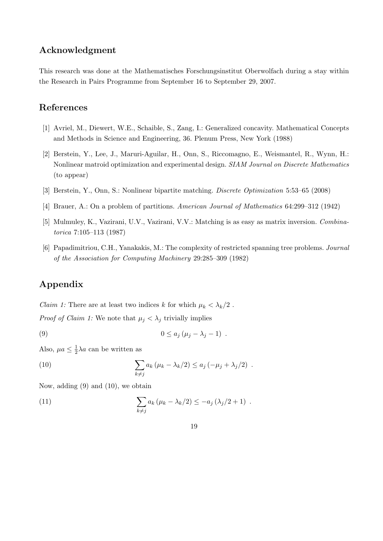### Acknowledgment

This research was done at the Mathematisches Forschungsinstitut Oberwolfach during a stay within the Research in Pairs Programme from September 16 to September 29, 2007.

# References

- [1] Avriel, M., Diewert, W.E., Schaible, S., Zang, I.: Generalized concavity. Mathematical Concepts and Methods in Science and Engineering, 36. Plenum Press, New York (1988)
- [2] Berstein, Y., Lee, J., Maruri-Aguilar, H., Onn, S., Riccomagno, E., Weismantel, R., Wynn, H.: Nonlinear matroid optimization and experimental design. SIAM Journal on Discrete Mathematics (to appear)
- [3] Berstein, Y., Onn, S.: Nonlinear bipartite matching. Discrete Optimization 5:53–65 (2008)
- [4] Brauer, A.: On a problem of partitions. American Journal of Mathematics 64:299–312 (1942)
- [5] Mulmuley, K., Vazirani, U.V., Vazirani, V.V.: Matching is as easy as matrix inversion. Combinatorica 7:105–113 (1987)
- [6] Papadimitriou, C.H., Yanakakis, M.: The complexity of restricted spanning tree problems. Journal of the Association for Computing Machinery 29:285–309 (1982)

# Appendix

*Claim 1:* There are at least two indices k for which  $\mu_k < \lambda_k/2$ .

*Proof of Claim 1:* We note that  $\mu_j < \lambda_j$  trivially implies

$$
(9) \t\t\t 0 \le a_j \left(\mu_j - \lambda_j - 1\right) .
$$

Also,  $\mu a \leq \frac{1}{2}$  $\frac{1}{2}\lambda a$  can be written as

(10) 
$$
\sum_{k \neq j} a_k (\mu_k - \lambda_k/2) \leq a_j (-\mu_j + \lambda_j/2) .
$$

Now, adding (9) and (10), we obtain

(11) 
$$
\sum_{k \neq j} a_k (\mu_k - \lambda_k/2) \leq -a_j (\lambda_j/2 + 1) .
$$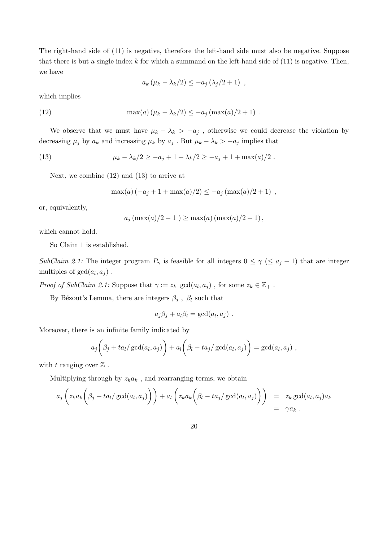The right-hand side of (11) is negative, therefore the left-hand side must also be negative. Suppose that there is but a single index  $k$  for which a summand on the left-hand side of  $(11)$  is negative. Then, we have

$$
a_k \left(\mu_k - \lambda_k/2\right) \leq -a_j \left(\lambda_j/2 + 1\right) ,
$$

which implies

(12) 
$$
\max(a) (\mu_k - \lambda_k/2) \leq -a_j (\max(a)/2 + 1) .
$$

We observe that we must have  $\mu_k - \lambda_k > -a_j$ , otherwise we could decrease the violation by decreasing  $\mu_j$  by  $a_k$  and increasing  $\mu_k$  by  $a_j$  . But  $\mu_k - \lambda_k > -a_j$  implies that

(13) 
$$
\mu_k - \lambda_k/2 \ge -a_j + 1 + \lambda_k/2 \ge -a_j + 1 + \max(a)/2.
$$

Next, we combine (12) and (13) to arrive at

$$
\max(a) (-a_j + 1 + \max(a)/2) \le -a_j (\max(a)/2 + 1) ,
$$

or, equivalently,

$$
a_j (\max(a)/2 - 1) \ge \max(a) (\max(a)/2 + 1)
$$
,

which cannot hold.

So Claim 1 is established.

SubClaim 2.1: The integer program  $P_{\gamma}$  is feasible for all integers  $0 \leq \gamma \leq a_j - 1$  that are integer multiples of  $gcd(a_l, a_j)$ .

*Proof of SubClaim 2.1:* Suppose that  $\gamma := z_k \gcd(a_l, a_j)$ , for some  $z_k \in \mathbb{Z}_+$ .

By Bézout's Lemma, there are integers  $\beta_j$  ,  $\beta_l$  such that

$$
a_j\beta_j + a_l\beta_l = \gcd(a_l, a_j) .
$$

Moreover, there is an infinite family indicated by

$$
a_j\bigg(\beta_j + ta_l/\gcd(a_l,a_j)\bigg) + a_l\bigg(\beta_l - ta_j/\gcd(a_l,a_j)\bigg) = \gcd(a_l,a_j) ,
$$

with t ranging over  $\mathbb Z$ .

Multiplying through by  $z_k a_k$ , and rearranging terms, we obtain

$$
a_j\left(z_ka_k\left(\beta_j+ta_l/\gcd(a_l,a_j)\right)\right)+a_l\left(z_ka_k\left(\beta_l-ta_j/\gcd(a_l,a_j)\right)\right) = z_k \gcd(a_l,a_j)a_k
$$
  
=  $\gamma a_k$ .

20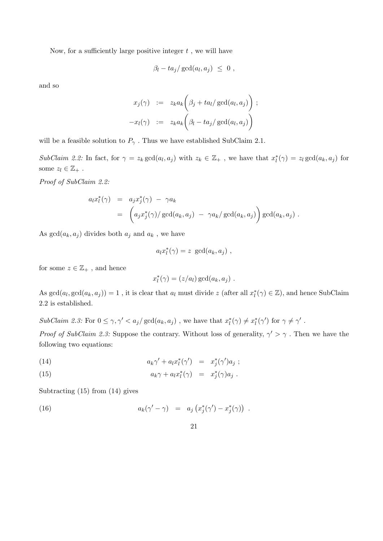Now, for a sufficiently large positive integer  $t$ , we will have

$$
\beta_l - ta_j / \gcd(a_l, a_j) \leq 0 ,
$$

and so

$$
x_j(\gamma) := z_k a_k \bigg(\beta_j + ta_l/\gcd(a_l, a_j)\bigg) ;
$$
  

$$
-x_l(\gamma) := z_k a_k \bigg(\beta_l - ta_j/\gcd(a_l, a_j)\bigg)
$$

will be a feasible solution to  $P_{\gamma}$ . Thus we have established SubClaim 2.1.

SubClaim 2.2: In fact, for  $\gamma = z_k \gcd(a_l, a_j)$  with  $z_k \in \mathbb{Z}_+$ , we have that  $x_l^*(\gamma) = z_l \gcd(a_k, a_j)$  for some  $z_l \in \mathbb{Z}_+$ .

Proof of SubClaim 2.2:

$$
a_l x_l^*(\gamma) = a_j x_j^*(\gamma) - \gamma a_k
$$
  
= 
$$
\left( a_j x_j^*(\gamma) / \gcd(a_k, a_j) - \gamma a_k / \gcd(a_k, a_j) \right) \gcd(a_k, a_j).
$$

As  $gcd(a_k, a_j)$  divides both  $a_j$  and  $a_k$ , we have

$$
a_l x_l^*(\gamma) = z \gcd(a_k, a_j) ,
$$

for some  $z \in \mathbb{Z}_+$ , and hence

$$
x_l^*(\gamma) = (z/a_l) \gcd(a_k, a_j) .
$$

As  $gcd(a_l, gcd(a_k, a_j)) = 1$ , it is clear that  $a_l$  must divide z (after all  $x_l^*(\gamma) \in \mathbb{Z}$ ), and hence SubClaim 2.2 is established.

 $SubClaim 2.3: For 0 \le \gamma, \gamma' < a_j/\gcd(a_k, a_j)$ , we have that  $x_l^*(\gamma) \ne x_l^*(\gamma')$  for  $\gamma \ne \gamma'$ .

*Proof of SubClaim 2.3:* Suppose the contrary. Without loss of generality,  $\gamma' > \gamma$ . Then we have the following two equations:

(14) 
$$
a_k \gamma' + a_l x_l^* (\gamma') = x_j^* (\gamma') a_j ;
$$

(15) 
$$
a_k \gamma + a_l x_l^* (\gamma) = x_j^* (\gamma) a_j.
$$

Subtracting (15) from (14) gives

(16) 
$$
a_k(\gamma'-\gamma) = a_j\left(x_j^*(\gamma')-x_j^*(\gamma)\right).
$$

$$
21 \\
$$